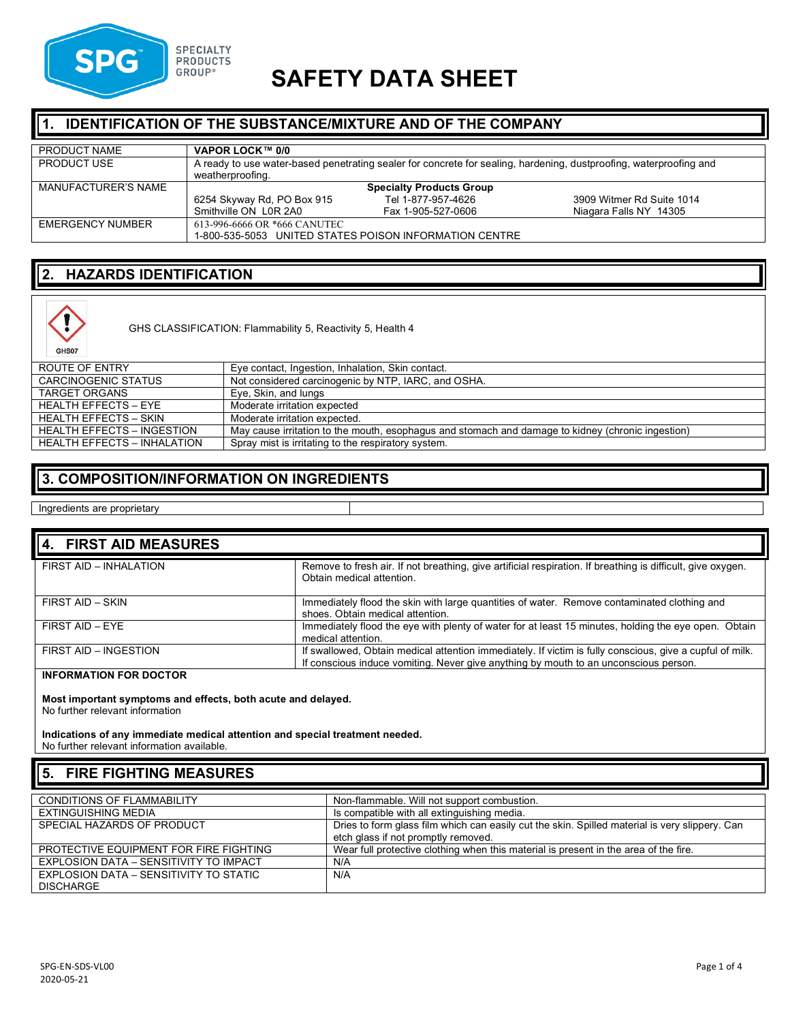

# *GROUP***<sup>®</sup> SAFETY DATA SHEET**

#### **1. IDENTIFICATION OF THE SUBSTANCE/MIXTURE AND OF THE COMPANY**

| PRODUCT NAME        | VAPOR LOCK™ 0/0                                                                                                                        |                    |                           |
|---------------------|----------------------------------------------------------------------------------------------------------------------------------------|--------------------|---------------------------|
| PRODUCT USE         | A ready to use water-based penetrating sealer for concrete for sealing, hardening, dustproofing, waterproofing and<br>weatherproofing. |                    |                           |
| MANUFACTURER'S NAME | <b>Specialty Products Group</b>                                                                                                        |                    |                           |
|                     | 6254 Skyway Rd, PO Box 915                                                                                                             | Tel 1-877-957-4626 | 3909 Witmer Rd Suite 1014 |
|                     | Smithville ON L0R 2A0                                                                                                                  | Fax 1-905-527-0606 | Niagara Falls NY 14305    |
| EMERGENCY NUMBER    | 613-996-6666 OR *666 CANUTEC                                                                                                           |                    |                           |
|                     | 1-800-535-5053 UNITED STATES POISON INFORMATION CENTRE                                                                                 |                    |                           |

## **2. HAZARDS IDENTIFICATION**



GHS CLASSIFICATION: Flammability 5, Reactivity 5, Health 4

| ROUTE OF ENTRY                     | Eye contact, Ingestion, Inhalation, Skin contact.                                                 |
|------------------------------------|---------------------------------------------------------------------------------------------------|
| CARCINOGENIC STATUS                | Not considered carcinogenic by NTP, IARC, and OSHA.                                               |
| TARGET ORGANS                      | Eye, Skin, and lungs                                                                              |
| HEALTH EFFECTS – EYE               | Moderate irritation expected                                                                      |
| HEALTH EFFECTS – SKIN              | Moderate irritation expected.                                                                     |
| <b>HEALTH EFFECTS - INGESTION</b>  | May cause irritation to the mouth, esophagus and stomach and damage to kidney (chronic ingestion) |
| <b>HEALTH EFFECTS - INHALATION</b> | Spray mist is irritating to the respiratory system.                                               |

#### **3. COMPOSITION/INFORMATION ON INGREDIENTS**

Ingredients are proprietary

| 4. FIRST AID MEASURES  |                                                                                                                                                                                                  |
|------------------------|--------------------------------------------------------------------------------------------------------------------------------------------------------------------------------------------------|
| FIRST AID - INHALATION | Remove to fresh air. If not breathing, give artificial respiration. If breathing is difficult, give oxygen.<br>Obtain medical attention.                                                         |
| FIRST AID - SKIN       | Immediately flood the skin with large quantities of water. Remove contaminated clothing and<br>shoes. Obtain medical attention.                                                                  |
| FIRST AID - EYE        | Immediately flood the eye with plenty of water for at least 15 minutes, holding the eye open. Obtain<br>medical attention.                                                                       |
| FIRST AID - INGESTION  | If swallowed, Obtain medical attention immediately. If victim is fully conscious, give a cupful of milk.<br>If conscious induce vomiting. Never give anything by mouth to an unconscious person. |

#### **INFORMATION FOR DOCTOR**

**Most important symptoms and effects, both acute and delayed.** No further relevant information

**Indications of any immediate medical attention and special treatment needed.** No further relevant information available.

## **5. FIRE FIGHTING MEASURES**

| <b>CONDITIONS OF FLAMMABILITY</b>      | Non-flammable. Will not support combustion.                                                    |
|----------------------------------------|------------------------------------------------------------------------------------------------|
| EXTINGUISHING MEDIA                    | Is compatible with all extinguishing media.                                                    |
| SPECIAL HAZARDS OF PRODUCT             | Dries to form glass film which can easily cut the skin. Spilled material is very slippery. Can |
|                                        | etch glass if not promptly removed.                                                            |
| PROTECTIVE EQUIPMENT FOR FIRE FIGHTING | Wear full protective clothing when this material is present in the area of the fire.           |
| EXPLOSION DATA - SENSITIVITY TO IMPACT | N/A                                                                                            |
| EXPLOSION DATA - SENSITIVITY TO STATIC | N/A                                                                                            |
| <b>DISCHARGE</b>                       |                                                                                                |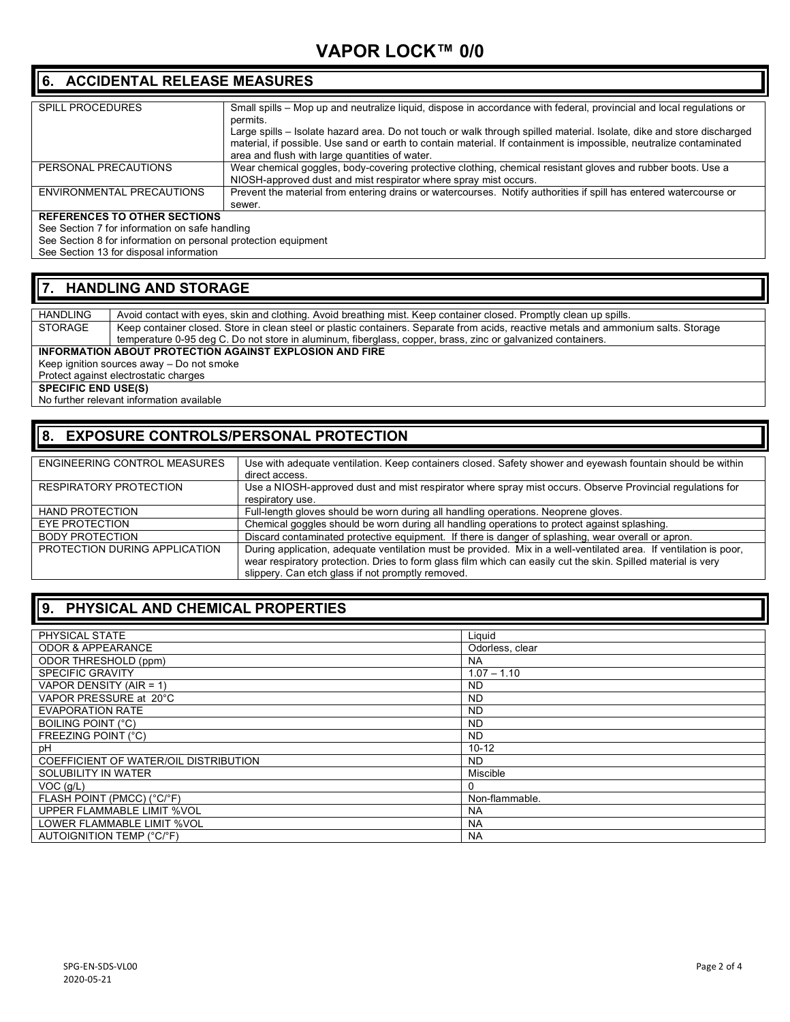#### **6. ACCIDENTAL RELEASE MEASURES**

| <b>SPILL PROCEDURES</b>             | Small spills – Mop up and neutralize liquid, dispose in accordance with federal, provincial and local regulations or  |
|-------------------------------------|-----------------------------------------------------------------------------------------------------------------------|
|                                     | permits.                                                                                                              |
|                                     | Large spills – Isolate hazard area. Do not touch or walk through spilled material. Isolate, dike and store discharged |
|                                     | material, if possible. Use sand or earth to contain material. If containment is impossible, neutralize contaminated   |
|                                     | area and flush with large quantities of water.                                                                        |
| PERSONAL PRECAUTIONS                | Wear chemical goggles, body-covering protective clothing, chemical resistant gloves and rubber boots. Use a           |
|                                     | NIOSH-approved dust and mist respirator where spray mist occurs.                                                      |
| ENVIRONMENTAL PRECAUTIONS           | Prevent the material from entering drains or watercourses. Notify authorities if spill has entered watercourse or     |
|                                     | sewer.                                                                                                                |
| <b>REFERENCES TO OTHER SECTIONS</b> |                                                                                                                       |

See Section 7 for information on safe handling See Section 8 for information on personal protection equipment

See Section 13 for disposal information

#### **7. HANDLING AND STORAGE**

HANDLING Avoid contact with eyes, skin and clothing. Avoid breathing mist. Keep container closed. Promptly clean up spills.<br>STORAGE Keep container closed. Store in clean steel or plastic containers. Separate from acids, re Keep container closed. Store in clean steel or plastic containers. Separate from acids, reactive metals and ammonium salts. Storage temperature 0-95 deg C. Do not store in aluminum, fiberglass, copper, brass, zinc or galvanized containers.

**INFORMATION ABOUT PROTECTION AGAINST EXPLOSION AND FIRE**

Keep ignition sources away – Do not smoke

Protect against electrostatic charges

**SPECIFIC END USE(S)** 

No further relevant information available

#### **8. EXPOSURE CONTROLS/PERSONAL PROTECTION**

| ENGINEERING CONTROL MEASURES  | Use with adequate ventilation. Keep containers closed. Safety shower and eyewash fountain should be within        |
|-------------------------------|-------------------------------------------------------------------------------------------------------------------|
|                               | direct access.                                                                                                    |
| RESPIRATORY PROTECTION        | Use a NIOSH-approved dust and mist respirator where spray mist occurs. Observe Provincial regulations for         |
|                               | respiratory use.                                                                                                  |
| <b>HAND PROTECTION</b>        | Full-length gloves should be worn during all handling operations. Neoprene gloves.                                |
| EYE PROTECTION                | Chemical goggles should be worn during all handling operations to protect against splashing.                      |
| <b>BODY PROTECTION</b>        | Discard contaminated protective equipment. If there is danger of splashing, wear overall or apron.                |
| PROTECTION DURING APPLICATION | During application, adequate ventilation must be provided. Mix in a well-ventilated area. If ventilation is poor, |
|                               | wear respiratory protection. Dries to form glass film which can easily cut the skin. Spilled material is very     |
|                               | slippery. Can etch glass if not promptly removed.                                                                 |

#### **9. PHYSICAL AND CHEMICAL PROPERTIES**

| PHYSICAL STATE                        | Liguid          |
|---------------------------------------|-----------------|
| <b>ODOR &amp; APPEARANCE</b>          | Odorless, clear |
| ODOR THRESHOLD (ppm)                  | <b>NA</b>       |
| <b>SPECIFIC GRAVITY</b>               | $1.07 - 1.10$   |
| VAPOR DENSITY (AIR = 1)               | <b>ND</b>       |
| VAPOR PRESSURE at 20°C                | <b>ND</b>       |
| <b>EVAPORATION RATE</b>               | <b>ND</b>       |
| <b>BOILING POINT (°C)</b>             | <b>ND</b>       |
| FREEZING POINT (°C)                   | <b>ND</b>       |
| рH                                    | $10 - 12$       |
| COEFFICIENT OF WATER/OIL DISTRIBUTION | ND.             |
| SOLUBILITY IN WATER                   | Miscible        |
| $VOC$ ( $g/L$ )                       | 0               |
| FLASH POINT (PMCC) (°C/°F)            | Non-flammable.  |
| UPPER FLAMMABLE LIMIT %VOL            | <b>NA</b>       |
| LOWER FLAMMABLE LIMIT %VOL            | <b>NA</b>       |
| AUTOIGNITION TEMP (°C/°F)             | <b>NA</b>       |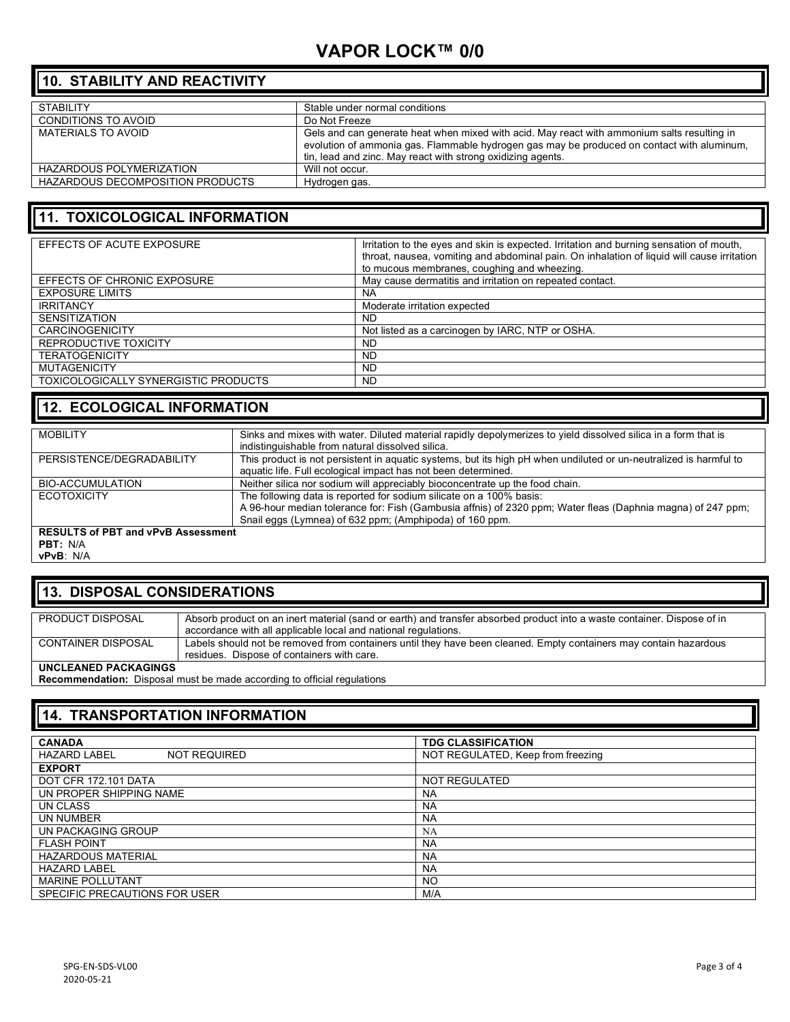## **VAPOR LOCK™ 0/0**

## **10. STABILITY AND REACTIVITY**

| <b>STABILITY</b>                 | Stable under normal conditions                                                              |
|----------------------------------|---------------------------------------------------------------------------------------------|
| <b>CONDITIONS TO AVOID</b>       | Do Not Freeze                                                                               |
| MATERIALS TO AVOID               | Gels and can generate heat when mixed with acid. May react with ammonium salts resulting in |
|                                  | evolution of ammonia gas. Flammable hydrogen gas may be produced on contact with aluminum,  |
|                                  | tin, lead and zinc. May react with strong oxidizing agents.                                 |
| HAZARDOUS POLYMERIZATION         | Will not occur.                                                                             |
| HAZARDOUS DECOMPOSITION PRODUCTS | Hydrogen gas.                                                                               |
|                                  |                                                                                             |

## **11. TOXICOLOGICAL INFORMATION**

| EFFECTS OF ACUTE EXPOSURE            | Irritation to the eyes and skin is expected. Irritation and burning sensation of mouth,<br>throat, nausea, vomiting and abdominal pain. On inhalation of liquid will cause irritation<br>to mucous membranes, coughing and wheezing. |
|--------------------------------------|--------------------------------------------------------------------------------------------------------------------------------------------------------------------------------------------------------------------------------------|
| EFFECTS OF CHRONIC EXPOSURE          | May cause dermatitis and irritation on repeated contact.                                                                                                                                                                             |
| <b>EXPOSURE LIMITS</b>               | NA                                                                                                                                                                                                                                   |
| <b>IRRITANCY</b>                     | Moderate irritation expected                                                                                                                                                                                                         |
| <b>SENSITIZATION</b>                 | ND                                                                                                                                                                                                                                   |
| <b>CARCINOGENICITY</b>               | Not listed as a carcinogen by IARC, NTP or OSHA.                                                                                                                                                                                     |
| REPRODUCTIVE TOXICITY                | <b>ND</b>                                                                                                                                                                                                                            |
| <b>TERATOGENICITY</b>                | <b>ND</b>                                                                                                                                                                                                                            |
| <b>MUTAGENICITY</b>                  | <b>ND</b>                                                                                                                                                                                                                            |
| TOXICOLOGICALLY SYNERGISTIC PRODUCTS | <b>ND</b>                                                                                                                                                                                                                            |

## **12. ECOLOGICAL INFORMATION**

| <b>MOBILITY</b>                                       | Sinks and mixes with water. Diluted material rapidly depolymerizes to yield dissolved silica in a form that is<br>indistinguishable from natural dissolved silica.                                                                            |  |
|-------------------------------------------------------|-----------------------------------------------------------------------------------------------------------------------------------------------------------------------------------------------------------------------------------------------|--|
| PERSISTENCE/DEGRADABILITY                             | This product is not persistent in aquatic systems, but its high pH when undiluted or un-neutralized is harmful to<br>aquatic life. Full ecological impact has not been determined.                                                            |  |
| <b>BIO-ACCUMULATION</b>                               | Neither silica nor sodium will appreciably bioconcentrate up the food chain.                                                                                                                                                                  |  |
| <b>ECOTOXICITY</b>                                    | The following data is reported for sodium silicate on a 100% basis:<br>A 96-hour median tolerance for: Fish (Gambusia affnis) of 2320 ppm; Water fleas (Daphnia magna) of 247 ppm;<br>Snail eggs (Lymnea) of 632 ppm; (Amphipoda) of 160 ppm. |  |
| <b>RESULTS of PBT and vPvB Assessment</b><br>DDT. NIA |                                                                                                                                                                                                                                               |  |

**PBT:** N/A **vPvB**: N/A

#### **13. DISPOSAL CONSIDERATIONS**

| PRODUCT DISPOSAL            | Absorb product on an inert material (sand or earth) and transfer absorbed product into a waste container. Dispose of in |
|-----------------------------|-------------------------------------------------------------------------------------------------------------------------|
|                             | accordance with all applicable local and national regulations.                                                          |
| <b>CONTAINER DISPOSAL</b>   | Labels should not be removed from containers until they have been cleaned. Empty containers may contain hazardous       |
|                             | residues. Dispose of containers with care.                                                                              |
| <b>HNCLEANED PACKAGINGS</b> |                                                                                                                         |

**UNCLEANED PACKAGINGS**

**Recommendation:** Disposal must be made according to official regulations

## **14. TRANSPORTATION INFORMATION**

| <b>CANADA</b>                              | <b>TDG CLASSIFICATION</b>         |
|--------------------------------------------|-----------------------------------|
| <b>NOT REQUIRED</b><br><b>HAZARD LABEL</b> | NOT REGULATED, Keep from freezing |
| <b>EXPORT</b>                              |                                   |
| DOT CFR 172.101 DATA                       | <b>NOT REGULATED</b>              |
| UN PROPER SHIPPING NAME                    | <b>NA</b>                         |
| UN CLASS                                   | <b>NA</b>                         |
| UN NUMBER                                  | <b>NA</b>                         |
| UN PACKAGING GROUP                         | <b>NA</b>                         |
| <b>FLASH POINT</b>                         | <b>NA</b>                         |
| <b>HAZARDOUS MATERIAL</b>                  | <b>NA</b>                         |
| <b>HAZARD LABEL</b>                        | <b>NA</b>                         |
| <b>MARINE POLLUTANT</b>                    | <b>NO</b>                         |
| SPECIFIC PRECAUTIONS FOR USER              | M/A                               |